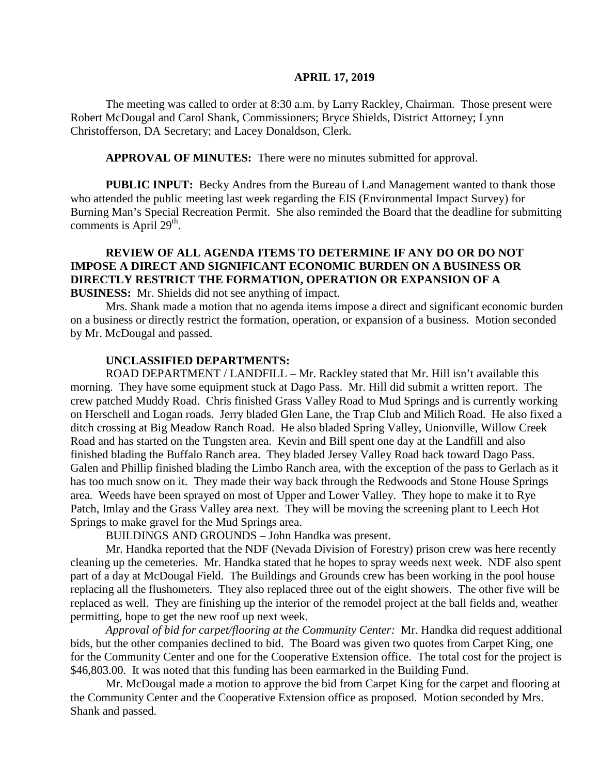#### **APRIL 17, 2019**

The meeting was called to order at 8:30 a.m. by Larry Rackley, Chairman. Those present were Robert McDougal and Carol Shank, Commissioners; Bryce Shields, District Attorney; Lynn Christofferson, DA Secretary; and Lacey Donaldson, Clerk.

**APPROVAL OF MINUTES:** There were no minutes submitted for approval.

**PUBLIC INPUT:** Becky Andres from the Bureau of Land Management wanted to thank those who attended the public meeting last week regarding the EIS (Environmental Impact Survey) for Burning Man's Special Recreation Permit. She also reminded the Board that the deadline for submitting comments is April  $29<sup>th</sup>$ .

### **REVIEW OF ALL AGENDA ITEMS TO DETERMINE IF ANY DO OR DO NOT IMPOSE A DIRECT AND SIGNIFICANT ECONOMIC BURDEN ON A BUSINESS OR DIRECTLY RESTRICT THE FORMATION, OPERATION OR EXPANSION OF A BUSINESS:** Mr. Shields did not see anything of impact.

Mrs. Shank made a motion that no agenda items impose a direct and significant economic burden on a business or directly restrict the formation, operation, or expansion of a business. Motion seconded by Mr. McDougal and passed.

#### **UNCLASSIFIED DEPARTMENTS:**

 ROAD DEPARTMENT / LANDFILL – Mr. Rackley stated that Mr. Hill isn't available this morning. They have some equipment stuck at Dago Pass. Mr. Hill did submit a written report. The crew patched Muddy Road. Chris finished Grass Valley Road to Mud Springs and is currently working on Herschell and Logan roads. Jerry bladed Glen Lane, the Trap Club and Milich Road. He also fixed a ditch crossing at Big Meadow Ranch Road. He also bladed Spring Valley, Unionville, Willow Creek Road and has started on the Tungsten area. Kevin and Bill spent one day at the Landfill and also finished blading the Buffalo Ranch area. They bladed Jersey Valley Road back toward Dago Pass. Galen and Phillip finished blading the Limbo Ranch area, with the exception of the pass to Gerlach as it has too much snow on it. They made their way back through the Redwoods and Stone House Springs area. Weeds have been sprayed on most of Upper and Lower Valley. They hope to make it to Rye Patch, Imlay and the Grass Valley area next. They will be moving the screening plant to Leech Hot Springs to make gravel for the Mud Springs area.

BUILDINGS AND GROUNDS – John Handka was present.

Mr. Handka reported that the NDF (Nevada Division of Forestry) prison crew was here recently cleaning up the cemeteries. Mr. Handka stated that he hopes to spray weeds next week. NDF also spent part of a day at McDougal Field. The Buildings and Grounds crew has been working in the pool house replacing all the flushometers. They also replaced three out of the eight showers. The other five will be replaced as well. They are finishing up the interior of the remodel project at the ball fields and, weather permitting, hope to get the new roof up next week.

*Approval of bid for carpet/flooring at the Community Center:* Mr. Handka did request additional bids, but the other companies declined to bid. The Board was given two quotes from Carpet King, one for the Community Center and one for the Cooperative Extension office. The total cost for the project is \$46,803.00. It was noted that this funding has been earmarked in the Building Fund.

Mr. McDougal made a motion to approve the bid from Carpet King for the carpet and flooring at the Community Center and the Cooperative Extension office as proposed. Motion seconded by Mrs. Shank and passed.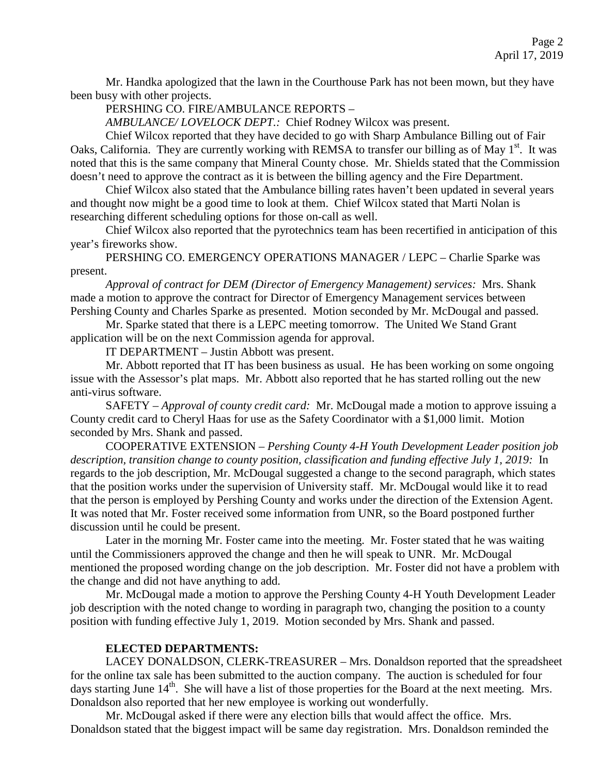Mr. Handka apologized that the lawn in the Courthouse Park has not been mown, but they have been busy with other projects.

PERSHING CO. FIRE/AMBULANCE REPORTS –

*AMBULANCE/ LOVELOCK DEPT.:* Chief Rodney Wilcox was present.

Chief Wilcox reported that they have decided to go with Sharp Ambulance Billing out of Fair Oaks, California. They are currently working with REMSA to transfer our billing as of May 1<sup>st</sup>. It was noted that this is the same company that Mineral County chose. Mr. Shields stated that the Commission doesn't need to approve the contract as it is between the billing agency and the Fire Department.

Chief Wilcox also stated that the Ambulance billing rates haven't been updated in several years and thought now might be a good time to look at them. Chief Wilcox stated that Marti Nolan is researching different scheduling options for those on-call as well.

Chief Wilcox also reported that the pyrotechnics team has been recertified in anticipation of this year's fireworks show.

PERSHING CO. EMERGENCY OPERATIONS MANAGER / LEPC – Charlie Sparke was present.

*Approval of contract for DEM (Director of Emergency Management) services:* Mrs. Shank made a motion to approve the contract for Director of Emergency Management services between Pershing County and Charles Sparke as presented. Motion seconded by Mr. McDougal and passed.

Mr. Sparke stated that there is a LEPC meeting tomorrow. The United We Stand Grant application will be on the next Commission agenda for approval.

IT DEPARTMENT – Justin Abbott was present.

Mr. Abbott reported that IT has been business as usual. He has been working on some ongoing issue with the Assessor's plat maps. Mr. Abbott also reported that he has started rolling out the new anti-virus software.

SAFETY – *Approval of county credit card:* Mr. McDougal made a motion to approve issuing a County credit card to Cheryl Haas for use as the Safety Coordinator with a \$1,000 limit. Motion seconded by Mrs. Shank and passed.

COOPERATIVE EXTENSION – *Pershing County 4-H Youth Development Leader position job description, transition change to county position, classification and funding effective July 1, 2019:* In regards to the job description, Mr. McDougal suggested a change to the second paragraph, which states that the position works under the supervision of University staff. Mr. McDougal would like it to read that the person is employed by Pershing County and works under the direction of the Extension Agent. It was noted that Mr. Foster received some information from UNR, so the Board postponed further discussion until he could be present.

Later in the morning Mr. Foster came into the meeting. Mr. Foster stated that he was waiting until the Commissioners approved the change and then he will speak to UNR. Mr. McDougal mentioned the proposed wording change on the job description. Mr. Foster did not have a problem with the change and did not have anything to add.

Mr. McDougal made a motion to approve the Pershing County 4-H Youth Development Leader job description with the noted change to wording in paragraph two, changing the position to a county position with funding effective July 1, 2019. Motion seconded by Mrs. Shank and passed.

### **ELECTED DEPARTMENTS:**

LACEY DONALDSON, CLERK-TREASURER – Mrs. Donaldson reported that the spreadsheet for the online tax sale has been submitted to the auction company. The auction is scheduled for four days starting June 14<sup>th</sup>. She will have a list of those properties for the Board at the next meeting. Mrs. Donaldson also reported that her new employee is working out wonderfully.

Mr. McDougal asked if there were any election bills that would affect the office. Mrs. Donaldson stated that the biggest impact will be same day registration. Mrs. Donaldson reminded the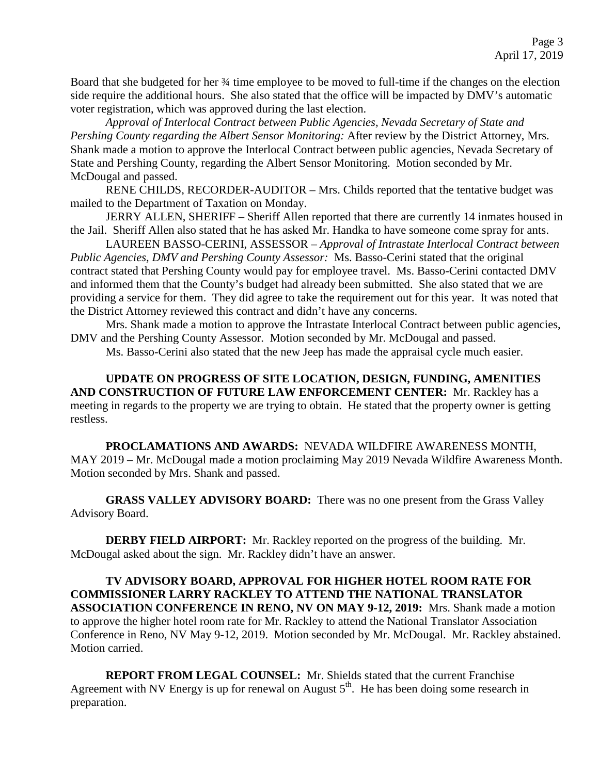Board that she budgeted for her ¾ time employee to be moved to full-time if the changes on the election side require the additional hours. She also stated that the office will be impacted by DMV's automatic voter registration, which was approved during the last election.

*Approval of Interlocal Contract between Public Agencies, Nevada Secretary of State and Pershing County regarding the Albert Sensor Monitoring:* After review by the District Attorney, Mrs. Shank made a motion to approve the Interlocal Contract between public agencies, Nevada Secretary of State and Pershing County, regarding the Albert Sensor Monitoring. Motion seconded by Mr. McDougal and passed.

RENE CHILDS, RECORDER-AUDITOR – Mrs. Childs reported that the tentative budget was mailed to the Department of Taxation on Monday.

JERRY ALLEN, SHERIFF – Sheriff Allen reported that there are currently 14 inmates housed in the Jail. Sheriff Allen also stated that he has asked Mr. Handka to have someone come spray for ants.

 LAUREEN BASSO-CERINI, ASSESSOR – *Approval of Intrastate Interlocal Contract between Public Agencies, DMV and Pershing County Assessor:* Ms. Basso-Cerini stated that the original contract stated that Pershing County would pay for employee travel. Ms. Basso-Cerini contacted DMV and informed them that the County's budget had already been submitted. She also stated that we are providing a service for them. They did agree to take the requirement out for this year. It was noted that the District Attorney reviewed this contract and didn't have any concerns.

Mrs. Shank made a motion to approve the Intrastate Interlocal Contract between public agencies, DMV and the Pershing County Assessor. Motion seconded by Mr. McDougal and passed.

Ms. Basso-Cerini also stated that the new Jeep has made the appraisal cycle much easier.

**UPDATE ON PROGRESS OF SITE LOCATION, DESIGN, FUNDING, AMENITIES AND CONSTRUCTION OF FUTURE LAW ENFORCEMENT CENTER:** Mr. Rackley has a meeting in regards to the property we are trying to obtain. He stated that the property owner is getting restless.

**PROCLAMATIONS AND AWARDS:** NEVADA WILDFIRE AWARENESS MONTH, MAY 2019 – Mr. McDougal made a motion proclaiming May 2019 Nevada Wildfire Awareness Month. Motion seconded by Mrs. Shank and passed.

**GRASS VALLEY ADVISORY BOARD:** There was no one present from the Grass Valley Advisory Board.

**DERBY FIELD AIRPORT:** Mr. Rackley reported on the progress of the building. Mr. McDougal asked about the sign. Mr. Rackley didn't have an answer.

**TV ADVISORY BOARD, APPROVAL FOR HIGHER HOTEL ROOM RATE FOR COMMISSIONER LARRY RACKLEY TO ATTEND THE NATIONAL TRANSLATOR ASSOCIATION CONFERENCE IN RENO, NV ON MAY 9-12, 2019:** Mrs. Shank made a motion to approve the higher hotel room rate for Mr. Rackley to attend the National Translator Association Conference in Reno, NV May 9-12, 2019. Motion seconded by Mr. McDougal. Mr. Rackley abstained. Motion carried.

**REPORT FROM LEGAL COUNSEL:** Mr. Shields stated that the current Franchise Agreement with NV Energy is up for renewal on August  $5<sup>th</sup>$ . He has been doing some research in preparation.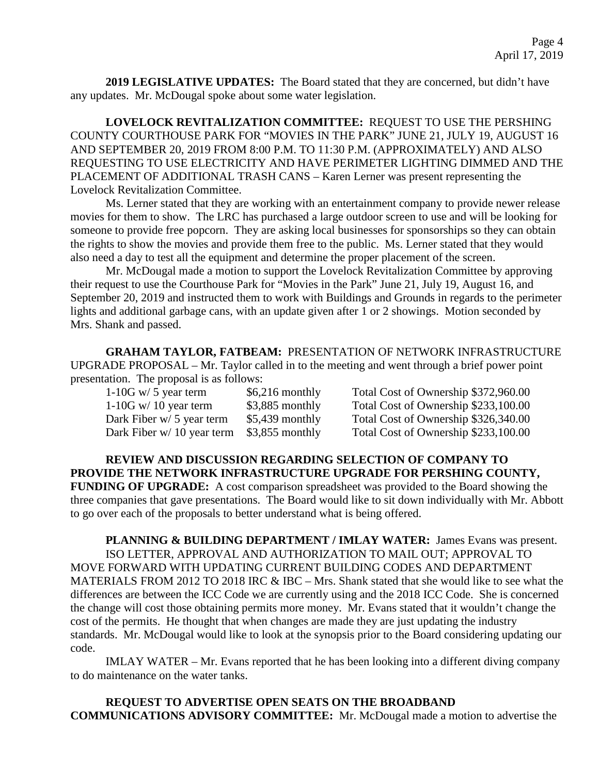**2019 LEGISLATIVE UPDATES:** The Board stated that they are concerned, but didn't have any updates. Mr. McDougal spoke about some water legislation.

**LOVELOCK REVITALIZATION COMMITTEE:** REQUEST TO USE THE PERSHING COUNTY COURTHOUSE PARK FOR "MOVIES IN THE PARK" JUNE 21, JULY 19, AUGUST 16 AND SEPTEMBER 20, 2019 FROM 8:00 P.M. TO 11:30 P.M. (APPROXIMATELY) AND ALSO REQUESTING TO USE ELECTRICITY AND HAVE PERIMETER LIGHTING DIMMED AND THE PLACEMENT OF ADDITIONAL TRASH CANS – Karen Lerner was present representing the Lovelock Revitalization Committee.

Ms. Lerner stated that they are working with an entertainment company to provide newer release movies for them to show. The LRC has purchased a large outdoor screen to use and will be looking for someone to provide free popcorn. They are asking local businesses for sponsorships so they can obtain the rights to show the movies and provide them free to the public. Ms. Lerner stated that they would also need a day to test all the equipment and determine the proper placement of the screen.

Mr. McDougal made a motion to support the Lovelock Revitalization Committee by approving their request to use the Courthouse Park for "Movies in the Park" June 21, July 19, August 16, and September 20, 2019 and instructed them to work with Buildings and Grounds in regards to the perimeter lights and additional garbage cans, with an update given after 1 or 2 showings. Motion seconded by Mrs. Shank and passed.

**GRAHAM TAYLOR, FATBEAM:** PRESENTATION OF NETWORK INFRASTRUCTURE UPGRADE PROPOSAL – Mr. Taylor called in to the meeting and went through a brief power point presentation. The proposal is as follows:

| $1-10G$ w/ 5 year term     | $$6,216$ monthly | Total Cost of Ownership \$372,960.00 |
|----------------------------|------------------|--------------------------------------|
| $1-10G$ w/ 10 year term    | $$3,885$ monthly | Total Cost of Ownership \$233,100.00 |
| Dark Fiber $w/5$ year term | $$5,439$ monthly | Total Cost of Ownership \$326,340.00 |
| Dark Fiber w/ 10 year term | $$3,855$ monthly | Total Cost of Ownership \$233,100.00 |

**REVIEW AND DISCUSSION REGARDING SELECTION OF COMPANY TO PROVIDE THE NETWORK INFRASTRUCTURE UPGRADE FOR PERSHING COUNTY, FUNDING OF UPGRADE:** A cost comparison spreadsheet was provided to the Board showing the three companies that gave presentations. The Board would like to sit down individually with Mr. Abbott to go over each of the proposals to better understand what is being offered.

**PLANNING & BUILDING DEPARTMENT / IMLAY WATER:** James Evans was present. ISO LETTER, APPROVAL AND AUTHORIZATION TO MAIL OUT; APPROVAL TO MOVE FORWARD WITH UPDATING CURRENT BUILDING CODES AND DEPARTMENT MATERIALS FROM 2012 TO 2018 IRC & IBC – Mrs. Shank stated that she would like to see what the differences are between the ICC Code we are currently using and the 2018 ICC Code. She is concerned the change will cost those obtaining permits more money. Mr. Evans stated that it wouldn't change the cost of the permits. He thought that when changes are made they are just updating the industry standards. Mr. McDougal would like to look at the synopsis prior to the Board considering updating our code.

IMLAY WATER – Mr. Evans reported that he has been looking into a different diving company to do maintenance on the water tanks.

**REQUEST TO ADVERTISE OPEN SEATS ON THE BROADBAND COMMUNICATIONS ADVISORY COMMITTEE:** Mr. McDougal made a motion to advertise the